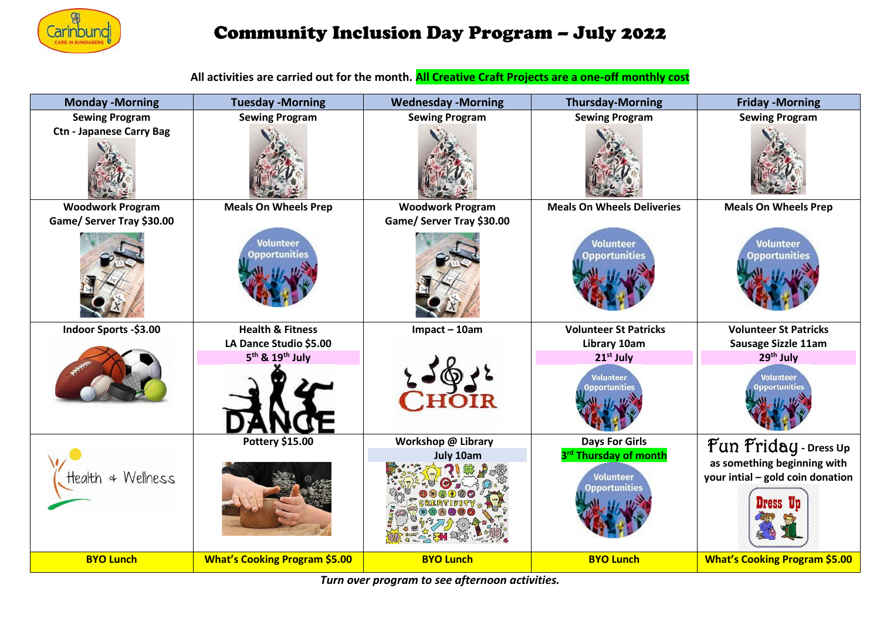

## Community Inclusion Day Program – July 2022

**All activities are carried out for the month. All Creative Craft Projects are a one-off monthly cost**

| <b>Monday - Morning</b>         | <b>Tuesday - Morning</b>                 | <b>Wednesday -Morning</b> | <b>Thursday-Morning</b>                                                       | <b>Friday -Morning</b>                                          |
|---------------------------------|------------------------------------------|---------------------------|-------------------------------------------------------------------------------|-----------------------------------------------------------------|
| <b>Sewing Program</b>           | <b>Sewing Program</b>                    | <b>Sewing Program</b>     | <b>Sewing Program</b>                                                         | <b>Sewing Program</b>                                           |
| <b>Ctn - Japanese Carry Bag</b> |                                          |                           |                                                                               |                                                                 |
| <b>Woodwork Program</b>         | <b>Meals On Wheels Prep</b>              | <b>Woodwork Program</b>   | <b>Meals On Wheels Deliveries</b>                                             | <b>Meals On Wheels Prep</b>                                     |
| Game/ Server Tray \$30.00       |                                          | Game/ Server Tray \$30.00 |                                                                               |                                                                 |
|                                 | <b>Volunteer</b><br><b>Opportunities</b> |                           | <b>Volunteer</b><br><b>Opportunities</b>                                      | <b>Volunteer</b><br><b>Opportunities</b>                        |
| Indoor Sports -\$3.00           | <b>Health &amp; Fitness</b>              | $Im$ pact - 10am          | <b>Volunteer St Patricks</b>                                                  | <b>Volunteer St Patricks</b>                                    |
|                                 | LA Dance Studio \$5.00                   |                           | Library 10am                                                                  | Sausage Sizzle 11am                                             |
|                                 | 5 <sup>th</sup> & 19 <sup>th</sup> July  |                           | 21 <sup>st</sup> July                                                         | 29 <sup>th</sup> July                                           |
|                                 |                                          |                           | <b>Volunteer</b><br>pportunitie                                               | Volunteer<br>pportunitie                                        |
| Health & Wellness               | Pottery \$15.00                          | Workshop @ Library        | <b>Days For Girls</b>                                                         | $\operatorname{Fun}$ $\operatorname{Friday}$ - Dress Up         |
|                                 |                                          | July 10am                 | 3 <sup>rd</sup> Thursday of month<br><b>Volunteer</b><br><b>Opportunities</b> | as something beginning with<br>your intial - gold coin donation |
| <b>BYO Lunch</b>                | <b>What's Cooking Program \$5.00</b>     | <b>BYO Lunch</b>          | <b>BYO Lunch</b>                                                              | <b>What's Cooking Program \$5.00</b>                            |

*Turn over program to see afternoon activities.*